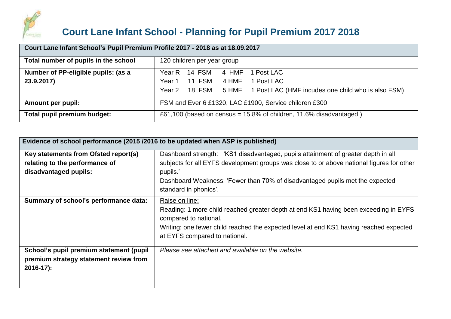

## **Court Lane Infant School - Planning for Pupil Premium 2017 2018**

| Court Lane Infant School's Pupil Premium Profile 2017 - 2018 as at 18.09.2017 |                                                                        |  |  |  |
|-------------------------------------------------------------------------------|------------------------------------------------------------------------|--|--|--|
| Total number of pupils in the school                                          | 120 children per year group                                            |  |  |  |
| Number of PP-eligible pupils: (as a                                           | Year R 14 FSM<br>1 Post LAC<br>4 HMF                                   |  |  |  |
| 23.9.2017)                                                                    | 4 HMF 1 Post LAC<br>11 FSM<br>Year 1                                   |  |  |  |
|                                                                               | Year 2 18 FSM 5 HMF 1 Post LAC (HMF incudes one child who is also FSM) |  |  |  |
| <b>Amount per pupil:</b>                                                      | FSM and Ever 6 £1320, LAC £1900, Service children £300                 |  |  |  |
| Total pupil premium budget:                                                   | £61,100 (based on census = $15.8\%$ of children, 11.6% disadvantaged)  |  |  |  |

| Evidence of school performance (2015 / 2016 to be updated when ASP is published)                 |                                                                                                                                                                                                                                                            |
|--------------------------------------------------------------------------------------------------|------------------------------------------------------------------------------------------------------------------------------------------------------------------------------------------------------------------------------------------------------------|
| Key statements from Ofsted report(s)                                                             | Dashboard strength: 'KS1 disadvantaged, pupils attainment of greater depth in all                                                                                                                                                                          |
| relating to the performance of                                                                   | subjects for all EYFS development groups was close to or above national figures for other                                                                                                                                                                  |
| disadvantaged pupils:                                                                            | pupils.'                                                                                                                                                                                                                                                   |
|                                                                                                  | Dashboard Weakness: 'Fewer than 70% of disadvantaged pupils met the expected<br>standard in phonics'.                                                                                                                                                      |
| Summary of school's performance data:                                                            | Raise on line:<br>Reading: 1 more child reached greater depth at end KS1 having been exceeding in EYFS<br>compared to national.<br>Writing: one fewer child reached the expected level at end KS1 having reached expected<br>at EYFS compared to national. |
| School's pupil premium statement (pupil<br>premium strategy statement review from<br>$2016-17$ : | Please see attached and available on the website.                                                                                                                                                                                                          |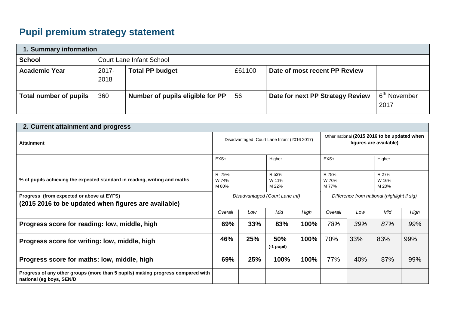## **Pupil premium strategy statement**

|                               | 1. Summary information          |                                  |        |                                  |                                  |
|-------------------------------|---------------------------------|----------------------------------|--------|----------------------------------|----------------------------------|
| <b>School</b>                 | <b>Court Lane Infant School</b> |                                  |        |                                  |                                  |
| <b>Academic Year</b>          | $2017 -$<br>2018                | <b>Total PP budget</b>           | £61100 | Date of most recent PP Review    |                                  |
| <b>Total number of pupils</b> | 360                             | Number of pupils eligible for PP | 56     | Date for next PP Strategy Review | 6 <sup>th</sup> November<br>2017 |

| 2. Current attainment and progress                                                                          |                                                    |     |                                             |                                             |                                                                        |     |        |      |
|-------------------------------------------------------------------------------------------------------------|----------------------------------------------------|-----|---------------------------------------------|---------------------------------------------|------------------------------------------------------------------------|-----|--------|------|
| <b>Attainment</b>                                                                                           |                                                    |     | Disadvantaged Court Lane Infant (2016 2017) |                                             | Other national (2015 2016 to be updated when<br>figures are available) |     |        |      |
|                                                                                                             | $EXS+$                                             |     | Higher                                      |                                             | $EXS+$                                                                 |     | Higher |      |
| % of pupils achieving the expected standard in reading, writing and maths                                   | R 79%<br>R 53%<br>W 74%<br>W 11%<br>M 80%<br>M 22% |     |                                             | R 78%<br>W 70%<br>M 77%                     |                                                                        |     |        |      |
| Progress (from expected or above at EYFS)<br>(2015 2016 to be updated when figures are available)           | Disadvantaged (Court Lane Inf)                     |     |                                             | Difference from national (highlight if sig) |                                                                        |     |        |      |
|                                                                                                             | Overall                                            | Low | Mid                                         | High                                        | Overall                                                                | Low | Mid    | High |
| Progress score for reading: low, middle, high                                                               | 69%                                                | 33% | 83%                                         | 100%                                        | 78%                                                                    | 39% | 87%    | 99%  |
| Progress score for writing: low, middle, high                                                               |                                                    | 25% | 50%<br>(-1 pupil)                           | 100%                                        | 70%                                                                    | 33% | 83%    | 99%  |
| Progress score for maths: low, middle, high                                                                 |                                                    | 25% | 100%                                        | 100%                                        | 77%                                                                    | 40% | 87%    | 99%  |
| Progress of any other groups (more than 5 pupils) making progress compared with<br>national (eg boys, SEN/D |                                                    |     |                                             |                                             |                                                                        |     |        |      |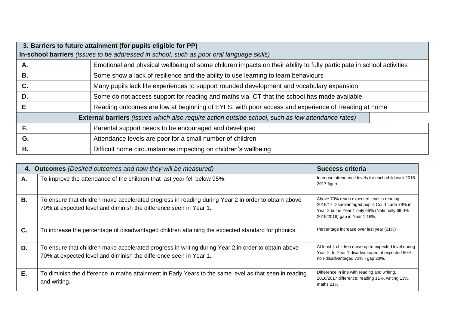|    |                                                                                           |                                                                                                   | 3. Barriers to future attainment (for pupils eligible for PP)                                                        |  |  |  |  |
|----|-------------------------------------------------------------------------------------------|---------------------------------------------------------------------------------------------------|----------------------------------------------------------------------------------------------------------------------|--|--|--|--|
|    |                                                                                           |                                                                                                   | In-school barriers (issues to be addressed in school, such as poor oral language skills)                             |  |  |  |  |
| А. |                                                                                           |                                                                                                   | Emotional and physical wellbeing of some children impacts on their ability to fully participate in school activities |  |  |  |  |
| В. |                                                                                           | Some show a lack of resilience and the ability to use learning to learn behaviours                |                                                                                                                      |  |  |  |  |
| C. | Many pupils lack life experiences to support rounded development and vocabulary expansion |                                                                                                   |                                                                                                                      |  |  |  |  |
| D. |                                                                                           | Some do not access support for reading and maths via ICT that the school has made available       |                                                                                                                      |  |  |  |  |
| Е  |                                                                                           | Reading outcomes are low at beginning of EYFS, with poor access and experience of Reading at home |                                                                                                                      |  |  |  |  |
|    |                                                                                           |                                                                                                   | External barriers (issues which also require action outside school, such as low attendance rates)                    |  |  |  |  |
| F. |                                                                                           |                                                                                                   | Parental support needs to be encouraged and developed                                                                |  |  |  |  |
| G. |                                                                                           |                                                                                                   | Attendance levels are poor for a small number of children                                                            |  |  |  |  |
| Η. |                                                                                           |                                                                                                   | Difficult home circumstances impacting on children's wellbeing                                                       |  |  |  |  |

|    | 4. Outcomes (Desired outcomes and how they will be measured)                                                                                                             | <b>Success criteria</b>                                                                                                                                                          |
|----|--------------------------------------------------------------------------------------------------------------------------------------------------------------------------|----------------------------------------------------------------------------------------------------------------------------------------------------------------------------------|
| Α. | To improve the attendance of the children that last year fell below 95%.                                                                                                 | Increase attendance levels for each child over 2016<br>2017 figure.                                                                                                              |
| В. | To ensure that children make accelerated progress in reading during Year 2 in order to obtain above<br>70% at expected level and diminish the difference seen in Year 1. | Above 70% reach expected level in reading.<br>2016/17 Disadvantaged pupils Court Lane 79% in<br>Year 2 but in Year 1 only 66% (Nationally 69.0%<br>2015/2016) gap in Year 1 16%. |
| C. | To increase the percentage of disadvantaged children attaining the expected standard for phonics.                                                                        | Percentage increase over last year (61%)                                                                                                                                         |
| D. | To ensure that children make accelerated progress in writing during Year 2 in order to obtain above<br>70% at expected level and diminish the difference seen in Year 1. | At least 4 children move up to expected level during<br>Year 2. In Year 1 disadvantaged at expected 50%,<br>non-disadvantaged 73% - gap 23%.                                     |
| Ε. | To diminish the difference in maths attainment in Early Years to the same level as that seen in reading<br>and writing.                                                  | Difference in line with reading and writing.<br>2016/2017 difference: reading 11%, writing 13%,<br>maths 21%                                                                     |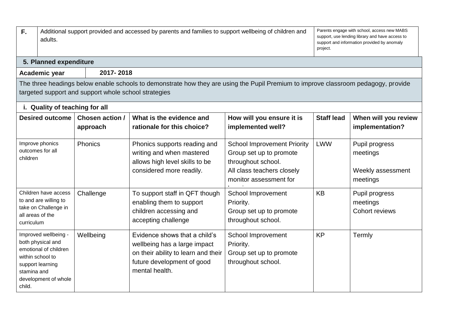| F.                    | Additional support provided and accessed by parents and families to support wellbeing of children and<br>adults.                   |                                                      |                                                                                                                                                      | project.                                                                                                                                    | Parents engage with school, access new MABS<br>support, use lending library and have access to<br>support and information provided by anomaly |                                                             |
|-----------------------|------------------------------------------------------------------------------------------------------------------------------------|------------------------------------------------------|------------------------------------------------------------------------------------------------------------------------------------------------------|---------------------------------------------------------------------------------------------------------------------------------------------|-----------------------------------------------------------------------------------------------------------------------------------------------|-------------------------------------------------------------|
|                       | 5. Planned expenditure                                                                                                             |                                                      |                                                                                                                                                      |                                                                                                                                             |                                                                                                                                               |                                                             |
|                       | Academic year                                                                                                                      | 2017-2018                                            |                                                                                                                                                      |                                                                                                                                             |                                                                                                                                               |                                                             |
|                       |                                                                                                                                    | targeted support and support whole school strategies | The three headings below enable schools to demonstrate how they are using the Pupil Premium to improve classroom pedagogy, provide                   |                                                                                                                                             |                                                                                                                                               |                                                             |
|                       | i. Quality of teaching for all                                                                                                     |                                                      |                                                                                                                                                      |                                                                                                                                             |                                                                                                                                               |                                                             |
|                       | <b>Desired outcome</b>                                                                                                             | Chosen action /<br>approach                          | What is the evidence and<br>rationale for this choice?                                                                                               | How will you ensure it is<br>implemented well?                                                                                              | <b>Staff lead</b>                                                                                                                             | When will you review<br>implementation?                     |
| children              | Improve phonics<br>outcomes for all                                                                                                | <b>Phonics</b>                                       | Phonics supports reading and<br>writing and when mastered<br>allows high level skills to be<br>considered more readily.                              | <b>School Improvement Priority</b><br>Group set up to promote<br>throughout school.<br>All class teachers closely<br>monitor assessment for | <b>LWW</b>                                                                                                                                    | Pupil progress<br>meetings<br>Weekly assessment<br>meetings |
| curriculum            | Children have access<br>to and are willing to<br>take on Challenge in<br>all areas of the                                          | Challenge                                            | To support staff in QFT though<br>enabling them to support<br>children accessing and<br>accepting challenge                                          | School Improvement<br>Priority.<br>Group set up to promote<br>throughout school.                                                            | <b>KB</b>                                                                                                                                     | Pupil progress<br>meetings<br><b>Cohort reviews</b>         |
| stamina and<br>child. | Improved wellbeing -<br>both physical and<br>emotional of children<br>within school to<br>support learning<br>development of whole | Wellbeing                                            | Evidence shows that a child's<br>wellbeing has a large impact<br>on their ability to learn and their<br>future development of good<br>mental health. | School Improvement<br>Priority.<br>Group set up to promote<br>throughout school.                                                            | <b>KP</b>                                                                                                                                     | Termly                                                      |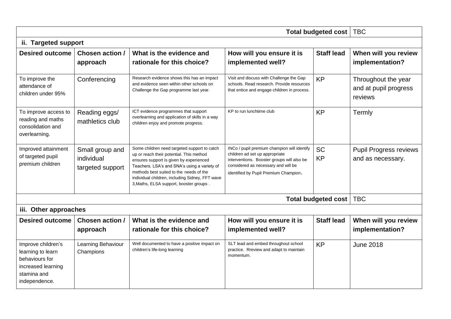|                                                                                                                 | Total budgeted cost   TBC                         |                                                                                                                                                                                                                                                                                                                              |                                                                                                                                                                                                             |                            |                                                         |
|-----------------------------------------------------------------------------------------------------------------|---------------------------------------------------|------------------------------------------------------------------------------------------------------------------------------------------------------------------------------------------------------------------------------------------------------------------------------------------------------------------------------|-------------------------------------------------------------------------------------------------------------------------------------------------------------------------------------------------------------|----------------------------|---------------------------------------------------------|
| ii. Targeted support                                                                                            |                                                   |                                                                                                                                                                                                                                                                                                                              |                                                                                                                                                                                                             |                            |                                                         |
| <b>Desired outcome</b>                                                                                          | Chosen action /<br>approach                       | What is the evidence and<br>rationale for this choice?                                                                                                                                                                                                                                                                       | How will you ensure it is<br>implemented well?                                                                                                                                                              | <b>Staff lead</b>          | When will you review<br>implementation?                 |
| To improve the<br>attendance of<br>children under 95%                                                           | Conferencing                                      | Research evidence shows this has an impact<br>and evidence seen within other schools on<br>Challenge the Gap programme last year.                                                                                                                                                                                            | Visit and discuss with Challenge the Gap<br>schools. Read research. Provide resources<br>that entice and engage children in process.                                                                        | <b>KP</b>                  | Throughout the year<br>and at pupil progress<br>reviews |
| To improve access to<br>reading and maths<br>consolidation and<br>overlearning.                                 | Reading eggs/<br>mathletics club                  | ICT evidence programmes that support<br>overlearning and application of skills in a way<br>children enjoy and promote progress.                                                                                                                                                                                              | KP to run lunchtime club                                                                                                                                                                                    | <b>KP</b>                  | Termly                                                  |
| Improved attainment<br>of targeted pupil<br>premium children                                                    | Small group and<br>individual<br>targeted support | Some children need targeted support to catch<br>up or reach their potential. This method<br>ensures support is given by experienced<br>Teachers. LSA's and SNA's using a variety of<br>methods best suited to the needs of the<br>individual children, including Sidney, FFT wave<br>3, Maths, ELSA support, booster groups. | INCo / pupil premium champion will identify<br>children ad set up appropriate<br>interventions. Booster groups will also be<br>considered as necessary and will be<br>identified by Pupil Premium Champion. | <b>SC</b><br><b>KP</b>     | <b>Pupil Progress reviews</b><br>and as necessary.      |
|                                                                                                                 |                                                   |                                                                                                                                                                                                                                                                                                                              |                                                                                                                                                                                                             | <b>Total budgeted cost</b> | <b>TBC</b>                                              |
| iii. Other approaches                                                                                           |                                                   |                                                                                                                                                                                                                                                                                                                              |                                                                                                                                                                                                             |                            |                                                         |
| <b>Desired outcome</b>                                                                                          | Chosen action /                                   | What is the evidence and                                                                                                                                                                                                                                                                                                     | How will you ensure it is                                                                                                                                                                                   | <b>Staff lead</b>          | When will you review                                    |
|                                                                                                                 | approach                                          | rationale for this choice?                                                                                                                                                                                                                                                                                                   | implemented well?                                                                                                                                                                                           |                            | implementation?                                         |
| Improve children's<br>learning to learn<br>behaviours for<br>increased learning<br>stamina and<br>independence. | Learning Behaviour<br>Champions                   | Well documented to have a positive impact on<br>children's life-long learning                                                                                                                                                                                                                                                | SLT lead and embed throughout school<br>practice. Rreview and adapt to maintain<br>momentum.                                                                                                                | <b>KP</b>                  | <b>June 2018</b>                                        |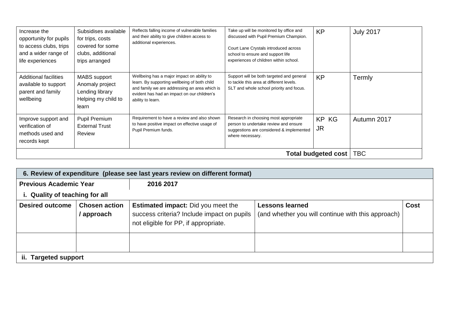| Increase the<br>opportunity for pupils<br>to access clubs, trips<br>and a wider range of<br>life experiences | Subsidises available<br>for trips, costs<br>covered for some<br>clubs, additional<br>trips arranged | Reflects falling income of vulnerable families<br>and their ability to give children access to<br>additional experiences.                                                                                       | Take up will be monitored by office and<br>discussed with Pupil Premium Champion.<br>Court Lane Crystals introduced across<br>school to ensure and support life<br>experiences of children within school. | <b>KP</b>                  | <b>July 2017</b> |
|--------------------------------------------------------------------------------------------------------------|-----------------------------------------------------------------------------------------------------|-----------------------------------------------------------------------------------------------------------------------------------------------------------------------------------------------------------------|-----------------------------------------------------------------------------------------------------------------------------------------------------------------------------------------------------------|----------------------------|------------------|
| <b>Additional facilities</b><br>available to support<br>parent and family<br>wellbeing                       | <b>MABS</b> support<br>Anomaly project<br>Lending library<br>Helping my child to<br>learn           | Wellbeing has a major impact on ability to<br>learn. By supporting wellbeing of both child<br>and family we are addressing an area which is<br>evident has had an impact on our children's<br>ability to learn. | Support will be both targeted and general<br>to tackle this area at different levels.<br>SLT and whole school priority and focus.                                                                         | <b>KP</b>                  | Termly           |
| Improve support and<br>verification of<br>methods used and<br>records kept                                   | <b>Pupil Premium</b><br><b>External Trust</b><br>Review                                             | Requirement to have a review and also shown<br>to have positive impact on effective usage of<br>Pupil Premium funds.                                                                                            | Research in choosing most appropriate<br>person to undertake review and ensure<br>suggestions are considered & implemented<br>where necessary.                                                            | KP KG<br><b>JR</b>         | Autumn 2017      |
|                                                                                                              |                                                                                                     |                                                                                                                                                                                                                 |                                                                                                                                                                                                           | <b>Total budgeted cost</b> | <b>TBC</b>       |

|                                | 6. Review of expenditure (please see last years review on different format) |                                                                                                                                 |                                                                              |             |  |  |
|--------------------------------|-----------------------------------------------------------------------------|---------------------------------------------------------------------------------------------------------------------------------|------------------------------------------------------------------------------|-------------|--|--|
| <b>Previous Academic Year</b>  |                                                                             | 2016 2017                                                                                                                       |                                                                              |             |  |  |
|                                | i. Quality of teaching for all                                              |                                                                                                                                 |                                                                              |             |  |  |
| <b>Desired outcome</b>         | <b>Chosen action</b><br>/ approach                                          | <b>Estimated impact:</b> Did you meet the<br>success criteria? Include impact on pupils<br>not eligible for PP, if appropriate. | <b>Lessons learned</b><br>(and whether you will continue with this approach) | <b>Cost</b> |  |  |
|                                |                                                                             |                                                                                                                                 |                                                                              |             |  |  |
| ii.<br><b>Targeted support</b> |                                                                             |                                                                                                                                 |                                                                              |             |  |  |